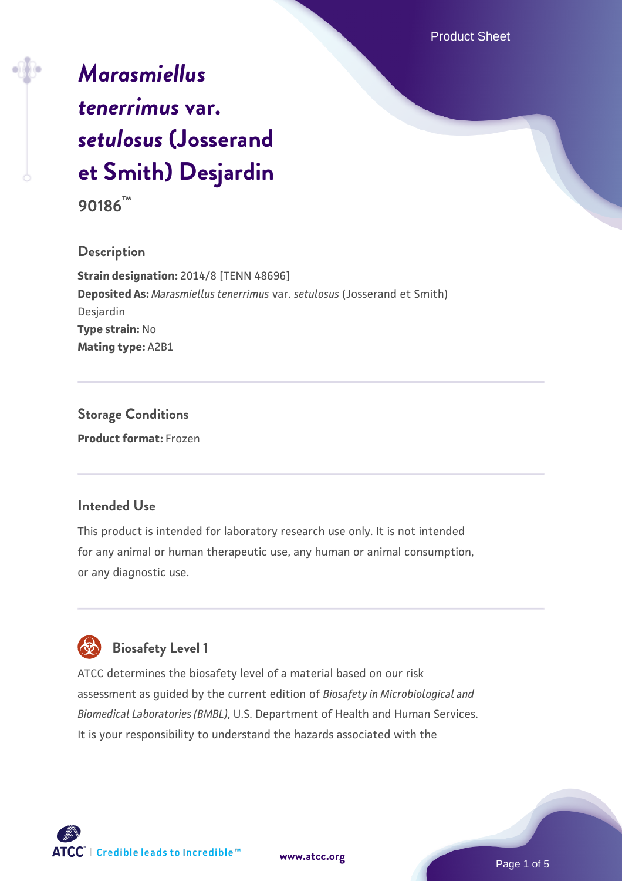# *[Marasmiellus](https://www.atcc.org/products/90186) [tenerrimus](https://www.atcc.org/products/90186)* **[var.](https://www.atcc.org/products/90186)** *[setulosus](https://www.atcc.org/products/90186)* **[\(Josserand](https://www.atcc.org/products/90186) [et Smith\) Desjardin](https://www.atcc.org/products/90186)**

**90186™**

### **Description**

**Strain designation:** 2014/8 [TENN 48696] **Deposited As:** *Marasmiellus tenerrimus* var. *setulosus* (Josserand et Smith) Desjardin **Type strain:** No **Mating type:** A2B1

## **Storage Conditions Product format:** Frozen

## **Intended Use**

This product is intended for laboratory research use only. It is not intended for any animal or human therapeutic use, any human or animal consumption, or any diagnostic use.



## **Biosafety Level 1**

ATCC determines the biosafety level of a material based on our risk assessment as guided by the current edition of *Biosafety in Microbiological and Biomedical Laboratories (BMBL)*, U.S. Department of Health and Human Services. It is your responsibility to understand the hazards associated with the

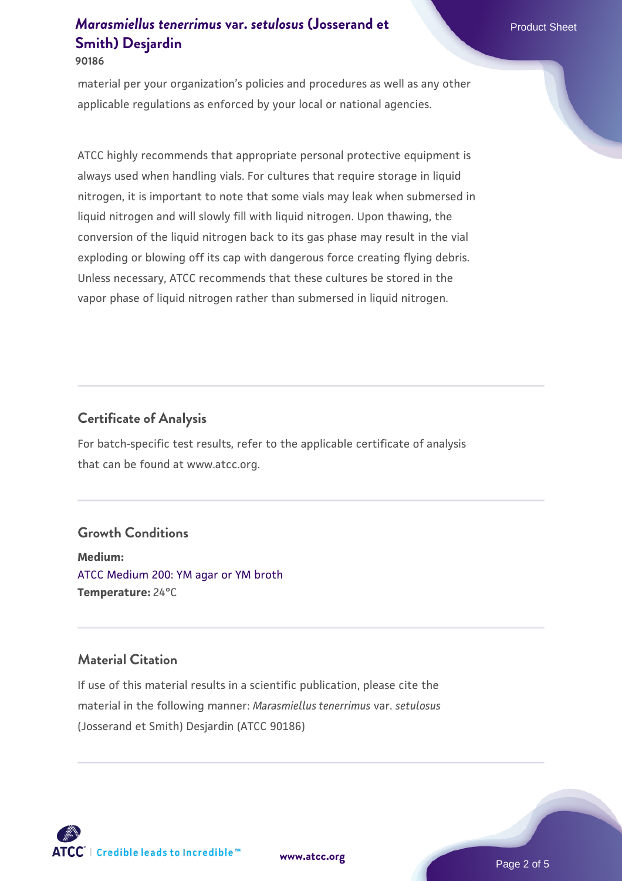#### **90186**

material per your organization's policies and procedures as well as any other applicable regulations as enforced by your local or national agencies.

ATCC highly recommends that appropriate personal protective equipment is always used when handling vials. For cultures that require storage in liquid nitrogen, it is important to note that some vials may leak when submersed in liquid nitrogen and will slowly fill with liquid nitrogen. Upon thawing, the conversion of the liquid nitrogen back to its gas phase may result in the vial exploding or blowing off its cap with dangerous force creating flying debris. Unless necessary, ATCC recommends that these cultures be stored in the vapor phase of liquid nitrogen rather than submersed in liquid nitrogen.

### **Certificate of Analysis**

For batch-specific test results, refer to the applicable certificate of analysis that can be found at www.atcc.org.

#### **Growth Conditions**

**Medium:**  [ATCC Medium 200: YM agar or YM broth](https://www.atcc.org/-/media/product-assets/documents/microbial-media-formulations/2/0/0/atcc-medium-200.pdf?rev=ac40fd74dc13433a809367b0b9da30fc) **Temperature:** 24°C

## **Material Citation**

If use of this material results in a scientific publication, please cite the material in the following manner: *Marasmiellus tenerrimus* var. *setulosus* (Josserand et Smith) Desjardin (ATCC 90186)

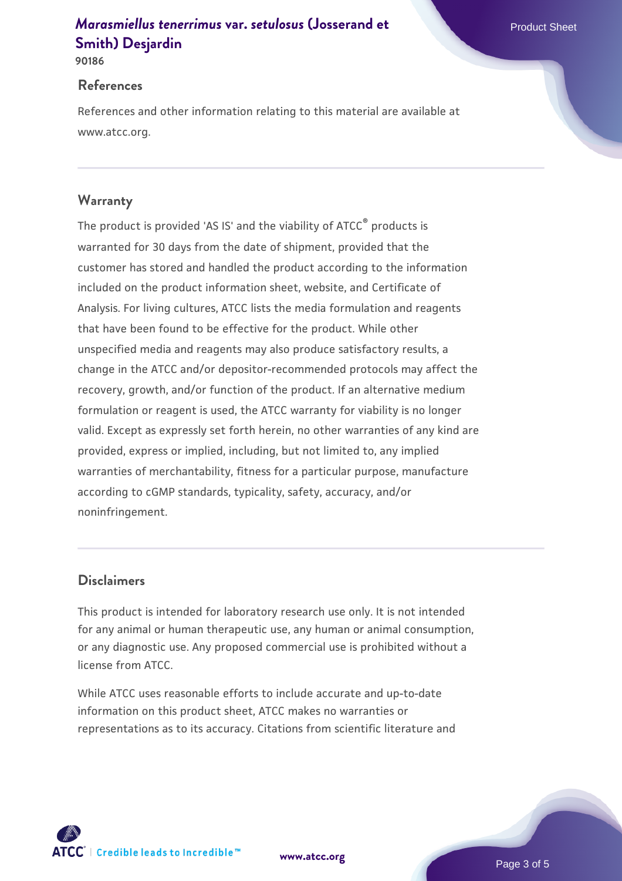**90186**

#### **References**

References and other information relating to this material are available at www.atcc.org.

## **Warranty**

The product is provided 'AS IS' and the viability of ATCC® products is warranted for 30 days from the date of shipment, provided that the customer has stored and handled the product according to the information included on the product information sheet, website, and Certificate of Analysis. For living cultures, ATCC lists the media formulation and reagents that have been found to be effective for the product. While other unspecified media and reagents may also produce satisfactory results, a change in the ATCC and/or depositor-recommended protocols may affect the recovery, growth, and/or function of the product. If an alternative medium formulation or reagent is used, the ATCC warranty for viability is no longer valid. Except as expressly set forth herein, no other warranties of any kind are provided, express or implied, including, but not limited to, any implied warranties of merchantability, fitness for a particular purpose, manufacture according to cGMP standards, typicality, safety, accuracy, and/or noninfringement.

### **Disclaimers**

This product is intended for laboratory research use only. It is not intended for any animal or human therapeutic use, any human or animal consumption, or any diagnostic use. Any proposed commercial use is prohibited without a license from ATCC.

While ATCC uses reasonable efforts to include accurate and up-to-date information on this product sheet, ATCC makes no warranties or representations as to its accuracy. Citations from scientific literature and

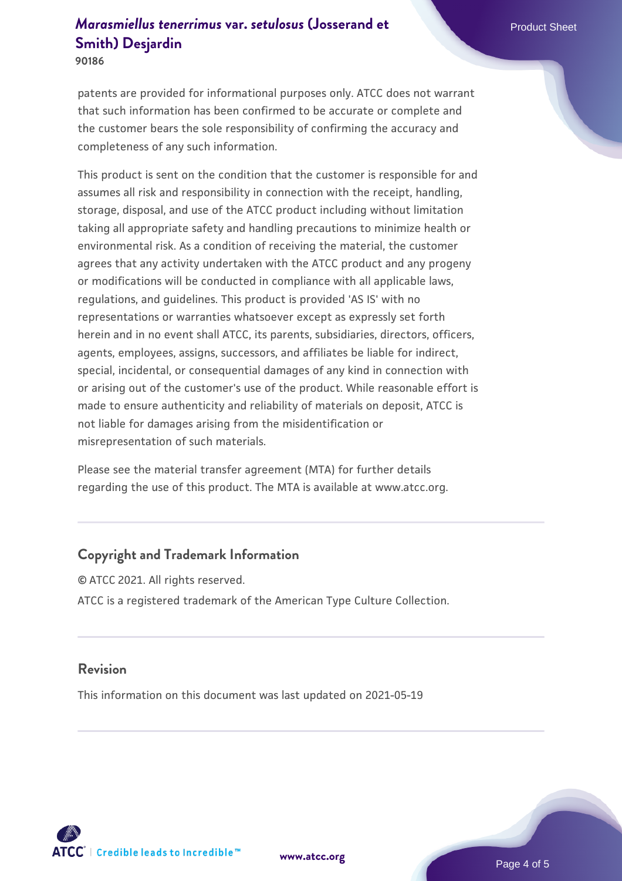**90186**

patents are provided for informational purposes only. ATCC does not warrant that such information has been confirmed to be accurate or complete and the customer bears the sole responsibility of confirming the accuracy and completeness of any such information.

This product is sent on the condition that the customer is responsible for and assumes all risk and responsibility in connection with the receipt, handling, storage, disposal, and use of the ATCC product including without limitation taking all appropriate safety and handling precautions to minimize health or environmental risk. As a condition of receiving the material, the customer agrees that any activity undertaken with the ATCC product and any progeny or modifications will be conducted in compliance with all applicable laws, regulations, and guidelines. This product is provided 'AS IS' with no representations or warranties whatsoever except as expressly set forth herein and in no event shall ATCC, its parents, subsidiaries, directors, officers, agents, employees, assigns, successors, and affiliates be liable for indirect, special, incidental, or consequential damages of any kind in connection with or arising out of the customer's use of the product. While reasonable effort is made to ensure authenticity and reliability of materials on deposit, ATCC is not liable for damages arising from the misidentification or misrepresentation of such materials.

Please see the material transfer agreement (MTA) for further details regarding the use of this product. The MTA is available at www.atcc.org.

## **Copyright and Trademark Information**

© ATCC 2021. All rights reserved. ATCC is a registered trademark of the American Type Culture Collection.

#### **Revision**

This information on this document was last updated on 2021-05-19



**[www.atcc.org](http://www.atcc.org)**

Page 4 of 5